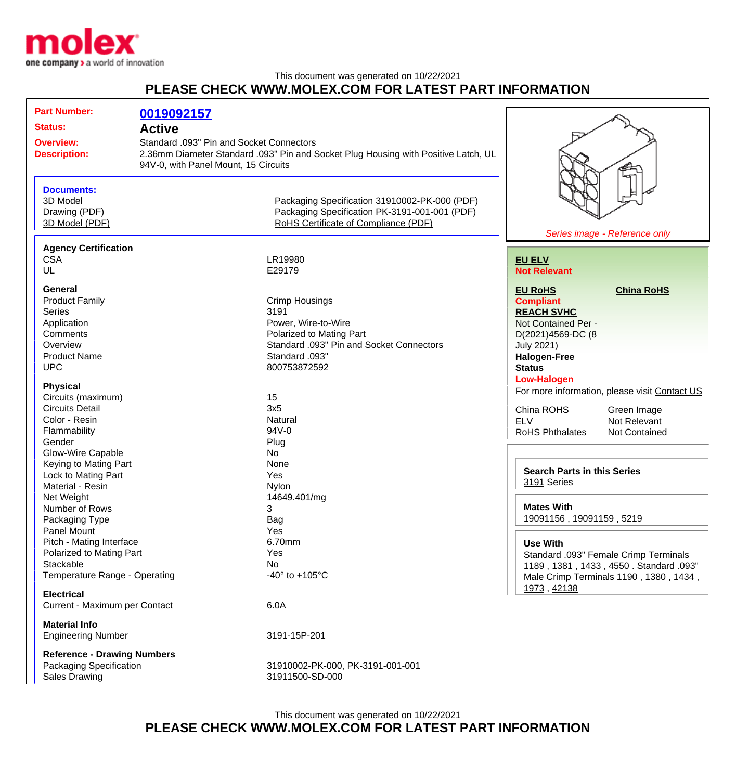

## This document was generated on 10/22/2021 **PLEASE CHECK WWW.MOLEX.COM FOR LATEST PART INFORMATION**

| <b>Part Number:</b>                |                                          |                                                                                    |                                    |                                               |
|------------------------------------|------------------------------------------|------------------------------------------------------------------------------------|------------------------------------|-----------------------------------------------|
|                                    | 0019092157                               |                                                                                    |                                    |                                               |
| <b>Status:</b>                     | <b>Active</b>                            |                                                                                    |                                    |                                               |
| <b>Overview:</b>                   | Standard .093" Pin and Socket Connectors |                                                                                    |                                    |                                               |
| <b>Description:</b>                |                                          | 2.36mm Diameter Standard .093" Pin and Socket Plug Housing with Positive Latch, UL |                                    |                                               |
|                                    | 94V-0, with Panel Mount, 15 Circuits     |                                                                                    |                                    |                                               |
|                                    |                                          |                                                                                    |                                    |                                               |
| <b>Documents:</b>                  |                                          |                                                                                    |                                    |                                               |
| 3D Model                           |                                          | Packaging Specification 31910002-PK-000 (PDF)                                      |                                    |                                               |
| Drawing (PDF)                      |                                          | Packaging Specification PK-3191-001-001 (PDF)                                      |                                    |                                               |
| 3D Model (PDF)                     |                                          | RoHS Certificate of Compliance (PDF)                                               |                                    |                                               |
|                                    |                                          |                                                                                    |                                    | Series image - Reference only                 |
|                                    |                                          |                                                                                    |                                    |                                               |
| <b>Agency Certification</b>        |                                          |                                                                                    |                                    |                                               |
| <b>CSA</b>                         |                                          | LR19980                                                                            | <b>EU ELV</b>                      |                                               |
| UL                                 |                                          | E29179                                                                             | <b>Not Relevant</b>                |                                               |
| General                            |                                          |                                                                                    | <b>EU RoHS</b>                     | <b>China RoHS</b>                             |
| <b>Product Family</b>              |                                          | <b>Crimp Housings</b>                                                              | <b>Compliant</b>                   |                                               |
| <b>Series</b>                      |                                          | 3191                                                                               | <b>REACH SVHC</b>                  |                                               |
| Application                        |                                          | Power, Wire-to-Wire                                                                |                                    |                                               |
| Comments                           |                                          | Polarized to Mating Part                                                           | Not Contained Per -                |                                               |
|                                    |                                          |                                                                                    | D(2021)4569-DC (8                  |                                               |
| Overview                           |                                          | Standard .093" Pin and Socket Connectors                                           | <b>July 2021)</b>                  |                                               |
| <b>Product Name</b>                |                                          | Standard .093"                                                                     | <b>Halogen-Free</b>                |                                               |
| <b>UPC</b>                         |                                          | 800753872592                                                                       | <b>Status</b>                      |                                               |
| <b>Physical</b>                    |                                          |                                                                                    | <b>Low-Halogen</b>                 |                                               |
|                                    |                                          | 15                                                                                 |                                    | For more information, please visit Contact US |
| Circuits (maximum)                 |                                          |                                                                                    |                                    |                                               |
| <b>Circuits Detail</b>             |                                          | 3x5                                                                                | China ROHS                         | Green Image                                   |
| Color - Resin                      |                                          | Natural                                                                            | <b>ELV</b>                         | Not Relevant                                  |
| Flammability                       |                                          | 94V-0                                                                              | <b>RoHS Phthalates</b>             | <b>Not Contained</b>                          |
| Gender                             |                                          | Plug                                                                               |                                    |                                               |
| Glow-Wire Capable                  |                                          | <b>No</b>                                                                          |                                    |                                               |
| Keying to Mating Part              |                                          | None                                                                               | <b>Search Parts in this Series</b> |                                               |
| Lock to Mating Part                |                                          | Yes                                                                                | 3191 Series                        |                                               |
| Material - Resin                   |                                          | Nylon                                                                              |                                    |                                               |
| Net Weight                         |                                          | 14649.401/mg                                                                       |                                    |                                               |
| Number of Rows                     |                                          | 3                                                                                  | <b>Mates With</b>                  |                                               |
| Packaging Type                     |                                          | Bag                                                                                | 19091156, 19091159, 5219           |                                               |
| Panel Mount                        |                                          | Yes                                                                                |                                    |                                               |
| Pitch - Mating Interface           |                                          | 6.70mm                                                                             | <b>Use With</b>                    |                                               |
| Polarized to Mating Part           |                                          | Yes                                                                                |                                    | Standard .093" Female Crimp Terminals         |
| Stackable                          |                                          | <b>No</b>                                                                          |                                    | 1189, 1381, 1433, 4550. Standard .093"        |
| Temperature Range - Operating      |                                          | -40 $^{\circ}$ to +105 $^{\circ}$ C                                                |                                    | Male Crimp Terminals 1190, 1380, 1434,        |
|                                    |                                          |                                                                                    | 1973, 42138                        |                                               |
| <b>Electrical</b>                  |                                          |                                                                                    |                                    |                                               |
| Current - Maximum per Contact      |                                          | 6.0A                                                                               |                                    |                                               |
| <b>Material Info</b>               |                                          |                                                                                    |                                    |                                               |
| <b>Engineering Number</b>          |                                          | 3191-15P-201                                                                       |                                    |                                               |
|                                    |                                          |                                                                                    |                                    |                                               |
| <b>Reference - Drawing Numbers</b> |                                          |                                                                                    |                                    |                                               |
| Packaging Specification            |                                          | 31910002-PK-000, PK-3191-001-001                                                   |                                    |                                               |
| <b>Sales Drawing</b>               |                                          | 31911500-SD-000                                                                    |                                    |                                               |
|                                    |                                          |                                                                                    |                                    |                                               |